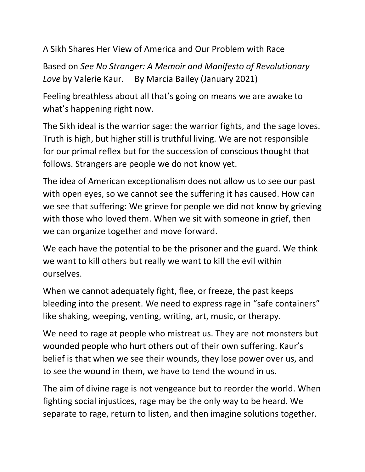A Sikh Shares Her View of America and Our Problem with Race

Based on *See No Stranger: A Memoir and Manifesto of Revolutionary Love* by Valerie Kaur. By Marcia Bailey (January 2021)

Feeling breathless about all that's going on means we are awake to what's happening right now.

The Sikh ideal is the warrior sage: the warrior fights, and the sage loves. Truth is high, but higher still is truthful living. We are not responsible for our primal reflex but for the succession of conscious thought that follows. Strangers are people we do not know yet.

The idea of American exceptionalism does not allow us to see our past with open eyes, so we cannot see the suffering it has caused. How can we see that suffering: We grieve for people we did not know by grieving with those who loved them. When we sit with someone in grief, then we can organize together and move forward.

We each have the potential to be the prisoner and the guard. We think we want to kill others but really we want to kill the evil within ourselves.

When we cannot adequately fight, flee, or freeze, the past keeps bleeding into the present. We need to express rage in "safe containers" like shaking, weeping, venting, writing, art, music, or therapy.

We need to rage at people who mistreat us. They are not monsters but wounded people who hurt others out of their own suffering. Kaur's belief is that when we see their wounds, they lose power over us, and to see the wound in them, we have to tend the wound in us.

The aim of divine rage is not vengeance but to reorder the world. When fighting social injustices, rage may be the only way to be heard. We separate to rage, return to listen, and then imagine solutions together.